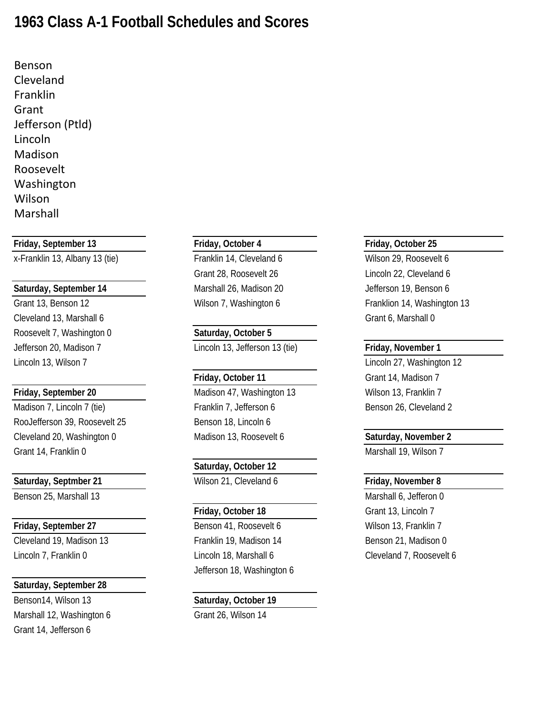## **1963 Class A-1 Football Schedules and Scores**

Benson Cleveland Franklin Grant Jefferson (Ptld) Lincoln Madison Roosevelt Washington Wilson Marshall

**Friday, September 13 Friday, October 4 Friday, October 25**

x-Franklin 13, Albany 13 (tie) Franklin 14, Cleveland 6 Wilson 29, Roosevelt 6

## **Saturday, September 14** Marshall 26, Madison 20 Jefferson 19, Benson 6

Cleveland 13, Marshall 6 Grant 6, Marshall 0 Roosevelt 7, Washington 0 **Saturday, October 5**

Madison 7, Lincoln 7 (tie) The State of Franklin 7, Jefferson 6 Benson 26, Cleveland 2 RooJefferson 39, Roosevelt 25 Benson 18, Lincoln 6 Cleveland 20, Washington 0 Madison 13, Roosevelt 6 **Saturday, November 2** Grant 14, Franklin 0 Marshall 19, Wilson 7

## **Saturday, September 28**

Benson14, Wilson 13 **Saturday, October 19** Marshall 12, Washington 6 Grant 26, Wilson 14 Grant 14, Jefferson 6

Grant 28, Roosevelt 26 Lincoln 22, Cleveland 6

Jefferson 20, Madison 7 Lincoln 13, Jefferson 13 (tie) **Friday, November 1**

**Friday, September 20** Madison 47, Washington 13 Wilson 13, Franklin 7

## **Saturday, October 12**

Saturday, Septmber 21 **Milson 21, Cleveland 6** Friday, November 8

**Friday, September 27** Benson 41, Roosevelt 6 Wilson 13, Franklin 7 Cleveland 19, Madison 13 Franklin 19, Madison 14 Benson 21, Madison 0 Lincoln 7, Franklin 0 Lincoln 18, Marshall 6 Cleveland 7, Roosevelt 6 Jefferson 18, Washington 6

Grant 13, Benson 12 **Example 20 Wilson 7, Washington 6** Franklion 14, Washington 13

Lincoln 13, Wilson 7 Lincoln 27, Washington 12 **Friday, October 11** Grant 14, Madison 7

Benson 25, Marshall 13 Marshall 6, Jefferon 0 **Friday, October 18** Grant 13, Lincoln 7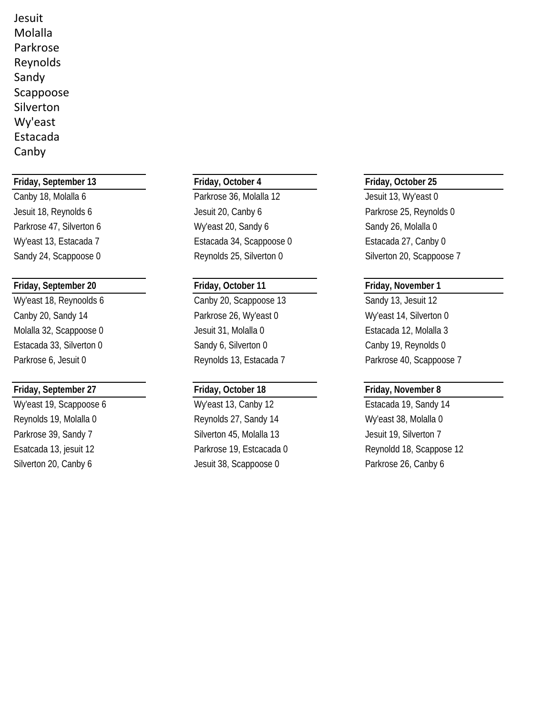Jesuit Molalla Parkrose Reynolds Sandy Scappoose Silverton Wy'east Estacada Canby

## **Friday, September 13 Friday, October 4 Friday, October 25**

## **Friday, September 20 Friday, October 11 Friday, November 1**

## **Friday, September 27 Friday, October 18 Friday, November 8**

Canby 18, Molalla 6 **Parkrose 36, Molalla 12** Jesuit 13, Wy'east 0 Jesuit 18, Reynolds 6 Jesuit 20, Canby 6 Parkrose 25, Reynolds 0 Parkrose 47, Silverton 6 **My'east 20, Sandy 6** Sandy 26, Molalla 0 Wy'east 13, Estacada 7 Estacada 34, Scappoose 0 Estacada 27, Canby 0 Sandy 24, Scappoose 0 Reynolds 25, Silverton 0 Silverton 20, Scappoose 7

Wy'east 18, Reynoolds 6 Canby 20, Scappoose 13 Sandy 13, Jesuit 12 Canby 20, Sandy 14 **Parkrose 26, Wy'east 0** Wy'east 14, Silverton 0 Molalla 32, Scappoose 0 Jesuit 31, Molalla 0 Estacada 12, Molalla 3 Estacada 33, Silverton 0 Sandy 6, Silverton 0 Canby 19, Reynolds 0 Parkrose 6, Jesuit 0 **Reynolds 13, Estacada 7** Parkrose 40, Scappoose 7

Wy'east 19, Scappoose 6 Wy'east 13, Canby 12 Estacada 19, Sandy 14 Reynolds 19, Molalla 0 Reynolds 27, Sandy 14 Wy'east 38, Molalla 0 Parkrose 39, Sandy 7 Silverton 45, Molalla 13 Silverton 7 Silverton 20, Canby 6 Jesuit 38, Scappoose 0 Parkrose 26, Canby 6

Esatcada 13, jesuit 12 Parkrose 19, Estcacada 0 Reynoldd 18, Scappose 12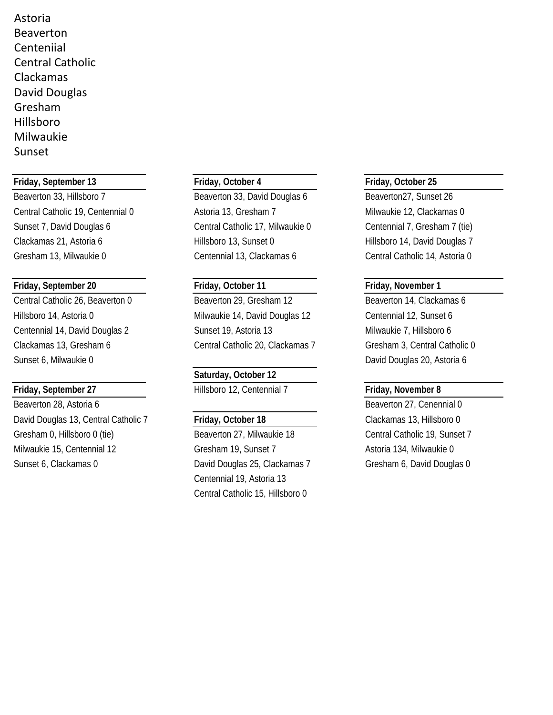Astoria Beaverton Centeniial Central Catholic Clackamas David Douglas Gresham Hillsboro Milwaukie Sunset

## **Friday, September 13 Friday, October 4 Friday, October 25**

Beaverton 33, Hillsboro 7 Beaverton 33, David Douglas 6 Beaverton 27, Sunset 26 Central Catholic 19, Centennial 0 Astoria 13, Gresham 7 Milwaukie 12, Clackamas 0 Sunset 7, David Douglas 6 Central Catholic 17, Milwaukie 0 Centennial 7, Gresham 7 (tie) Clackamas 21, Astoria 6 Hillsboro 13, Sunset 0 Hillsboro 14, David Douglas 7 Gresham 13, Milwaukie 0 Centennial 13, Clackamas 6 Central Catholic 14, Astoria 0

## **Friday, September 20 Friday, October 11 Friday, November 1**

Central Catholic 26, Beaverton 0 Beaverton 29, Gresham 12 Beaverton 14, Clackamas 6 Hillsboro 14, Astoria 0 Milwaukie 14, David Douglas 12 Centennial 12, Sunset 6 Centennial 14, David Douglas 2 Sunset 19, Astoria 13 Milwaukie 7, Hillsboro 6 Clackamas 13, Gresham 6 Central Catholic 20, Clackamas 7 Gresham 3, Central Catholic 0 Sunset 6, Milwaukie 0 David Douglas 20, Astoria 6

Beaverton 28, Astoria 6 Beaverton 27, Cenennial 0 David Douglas 13, Central Catholic 7 **Friday, October 18** Clackamas 13, Hillsboro 0 Gresham 0, Hillsboro 0 (tie) Beaverton 27, Milwaukie 18 Central Catholic 19, Sunset 7 Milwaukie 15, Centennial 12 Gresham 19, Sunset 7 Astoria 134, Milwaukie 0 Sunset 6, Clackamas 0 Clackamas 25, Clackamas 7 Gresham 6, David Douglas 0

**Saturday, October 12 Friday, September 27** Hillsboro 12, Centennial 7 **Friday, November 8**

Centennial 19, Astoria 13 Central Catholic 15, Hillsboro 0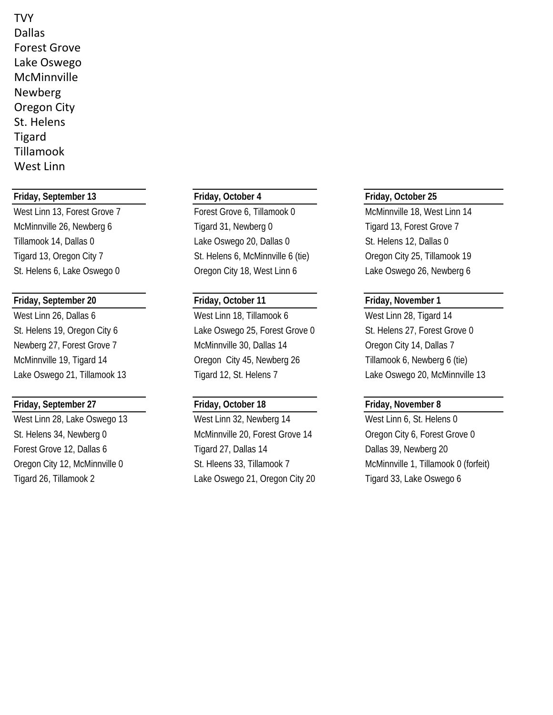**TVY** Dallas Forest Grove Lake Oswego **McMinnville** Newberg Oregon City St. Helens Tigard Tillamook West Linn

## **Friday, September 13 Friday, October 4 Friday, October 25**

## **Friday, September 20 Friday, October 11 Friday, November 1**

## **Friday, September 27 Friday, October 18 Friday, November 8**

West Linn 13, Forest Grove 7 Forest Grove 6, Tillamook 0 McMinnville 18, West Linn 14 McMinnville 26, Newberg 6 Tigard 31, Newberg 0 Tigard 13, Forest Grove 7 Tillamook 14, Dallas 0 Cake Oswego 20, Dallas 0 St. Helens 12, Dallas 0 Tigard 13, Oregon City 7 St. Helens 6, McMinnville 6 (tie) Oregon City 25, Tillamook 19 St. Helens 6, Lake Oswego 0 Cregon City 18, West Linn 6 Lake Oswego 26, Newberg 6

West Linn 26, Dallas 6 West Linn 18, Tillamook 6 West Linn 28, Tigard 14 St. Helens 19, Oregon City 6 Lake Oswego 25, Forest Grove 0 St. Helens 27, Forest Grove 0 Newberg 27, Forest Grove 7 The McMinnville 30, Dallas 14 Cregon City 14, Dallas 7 McMinnville 19, Tigard 14 Oregon City 45, Newberg 26 Tillamook 6, Newberg 6 (tie) Lake Oswego 21, Tillamook 13 Tigard 12, St. Helens 7 Lake Oswego 20, McMinnville 13

West Linn 28, Lake Oswego 13 West Linn 32, Newberg 14 West Linn 6, St. Helens 0 St. Helens 34, Newberg 0 McMinnville 20, Forest Grove 14 Oregon City 6, Forest Grove 0 Forest Grove 12, Dallas 6 Tigard 27, Dallas 14 Dallas 39, Newberg 20 Tigard 26, Tillamook 2 **Lake Oswego 21, Oregon City 20** Tigard 33, Lake Oswego 6

Oregon City 12, McMinnville 0 St. Hleens 33, Tillamook 7 McMinnville 1, Tillamook 0 (forfeit)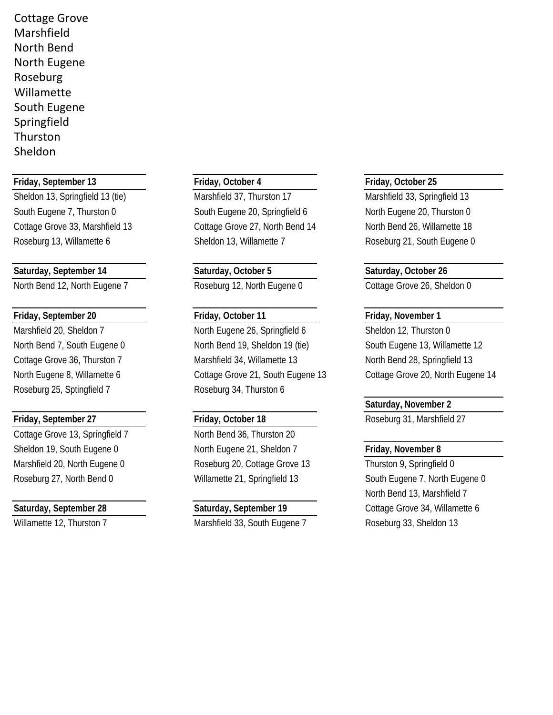Cottage Grove Marshfield North Bend North Eugene Roseburg Willamette South Eugene Springfield Thurston Sheldon

## **Friday, September 13 Friday, October 4 Friday, October 25**

## **Saturday, September 14 Saturday, October 5 Saturday, October 26**

North Bend 12, North Eugene 7 Roseburg 12, North Eugene 0 Cottage Grove 26, Sheldon 0

## **Friday, September 20 Friday, October 11 Friday, November 1**

Roseburg 25, Sptingfield 7 Roseburg 34, Thurston 6

Cottage Grove 13, Springfield 7 North Bend 36, Thurston 20

Sheldon 13, Springfield 13 (tie) Marshfield 37, Thurston 17 Marshfield 33, Springfield 13 South Eugene 7, Thurston 0 South Eugene 20, Springfield 6 North Eugene 20, Thurston 0 Cottage Grove 33, Marshfield 13 Cottage Grove 27, North Bend 14 North Bend 26, Willamette 18 Roseburg 13, Willamette 6 Sheldon 13, Willamette 7 Roseburg 21, South Eugene 0

Marshfield 20, Sheldon 7 North Eugene 26, Springfield 6 Sheldon 12, Thurston 0 North Bend 7, South Eugene 0 North Bend 19, Sheldon 19 (tie) South Eugene 13, Willamette 12 Cottage Grove 36, Thurston 7 **Marshfield 34, Willamette 13** North Bend 28, Springfield 13 North Eugene 8, Willamette 6 Cottage Grove 21, South Eugene 13 Cottage Grove 20, North Eugene 14

Sheldon 19, South Eugene 0 North Eugene 21, Sheldon 7 **Friday, November 8** Marshfield 20, North Eugene 0 Roseburg 20, Cottage Grove 13 Thurston 9, Springfield 0

Willamette 12, Thurston 7 Marshfield 33, South Eugene 7 Roseburg 33, Sheldon 13

## **Saturday, November 2**

**Friday, September 27 Friday, October 18** Roseburg 31, Marshfield 27

Roseburg 27, North Bend 0 Willamette 21, Springfield 13 South Eugene 7, North Eugene 0 North Bend 13, Marshfield 7 **Saturday, September 28 Saturday, September 19 Cottage Grove 34, Willamette 6**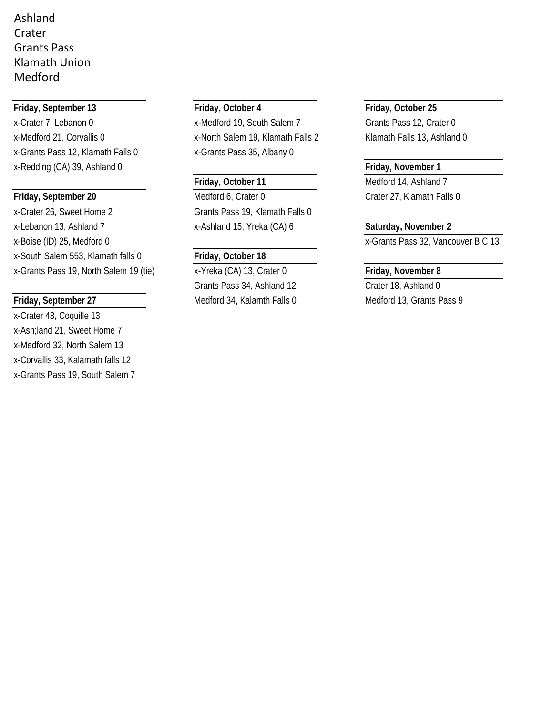## Ashland Crater Grants Pass Klamath Union Medford

## **Friday, September 13 Friday, October 4 Friday, October 25**

x-Crater 7, Lebanon 0 x-Medford 19, South Salem 7 Grants Pass 12, Crater 0 x-Medford 21, Corvallis 0 x-North Salem 19, Klamath Falls 2 Klamath Falls 13, Ashland 0 x-Grants Pass 12, Klamath Falls 0 x-Grants Pass 35, Albany 0 x-Redding (CA) 39, Ashland 0 **Friday, November 1**

x-Crater 26, Sweet Home 2 Grants Pass 19, Klamath Falls 0 x-Lebanon 13, Ashland 7 x-Ashland 15, Yreka (CA) 6 **Saturday, November 2** x-Boise (ID) 25, Medford 0 x-Grants Pass 32, Vancouver B.C 13 x-South Salem 553, Klamath falls 0 **Friday, October 18** x-Grants Pass 19, North Salem 19 (tie) x-Yreka (CA) 13, Crater 0 **Friday, November 8**

x-Crater 48, Coquille 13 x-Ash;land 21, Sweet Home 7 x-Medford 32, North Salem 13 x-Corvallis 33, Kalamath falls 12 x-Grants Pass 19, South Salem 7

**Friday, September 20** Medford 6, Crater 0 Crater 27, Klamath Falls 0

Grants Pass 34, Ashland 12 Crater 18, Ashland 0 **Friday, September 27** Medford 34, Kalamth Falls 0 Medford 13, Grants Pass 9

Friday, October 11 Medford 14, Ashland 7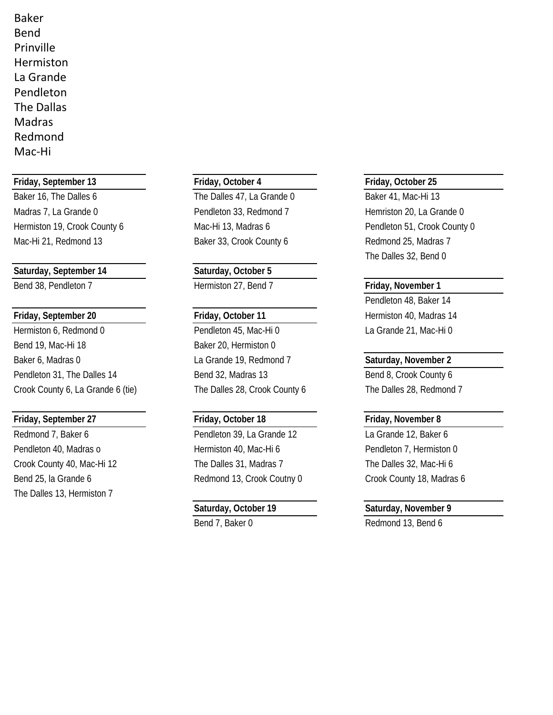Baker Bend Prinville Hermiston La Grande Pendleton The Dallas Madras Redmond Mac-Hi

## **Friday, September 13 Friday, October 4 Friday, October 25**

Madras 7, La Grande 0 **Pendleton 33, Redmond 7** Hemriston 20, La Grande 0 Hermiston 19, Crook County 6 Mac-Hi 13, Madras 6 Pendleton 51, Crook County 0 Mac-Hi 21, Redmond 13 Baker 33, Crook County 6 Redmond 25, Madras 7

## **Saturday, September 14 Saturday, October 5**

Hermiston 6, Redmond 0 Pendleton 45, Mac-Hi 0 La Grande 21, Mac-Hi 0 Bend 19, Mac-Hi 18 Baker 20, Hermiston 0 Baker 6, Madras 0 La Grande 19, Redmond 7 **Saturday, November 2** Pendleton 31, The Dalles 14 Bend 32, Madras 13 Bend 8, Crook County 6

## **Friday, September 27 Friday, October 18 Friday, November 8**

Bend 25, la Grande 6 **Redmond 13, Crook Coutny 0** Crook County 18, Madras 6 The Dalles 13, Hermiston 7

Baker 16, The Dalles 6 The Dalles 47, La Grande 0 Baker 41, Mac-Hi 13

Bend 38, Pendleton 7 **Hermiston 27, Bend 7 Friday, November 1** 

Crook County 6, La Grande 6 (tie) The Dalles 28, Crook County 6 The Dalles 28, Redmond 7

Redmond 7, Baker 6 **Pendleton 39, La Grande 12** La Grande 12, Baker 6 Pendleton 40, Madras o **Hermiston 40, Mac-Hi 6** Pendleton 7, Hermiston 0 Crook County 40, Mac-Hi 12 The Dalles 31, Madras 7 The Dalles 32, Mac-Hi 6

The Dalles 32, Bend 0

Pendleton 48, Baker 14 **Friday, September 20 Friday, October 11 Hermiston 40, Madras 14** 

## **Saturday, October 19 Saturday, November 9**

Bend 7, Baker 0 Redmond 13, Bend 6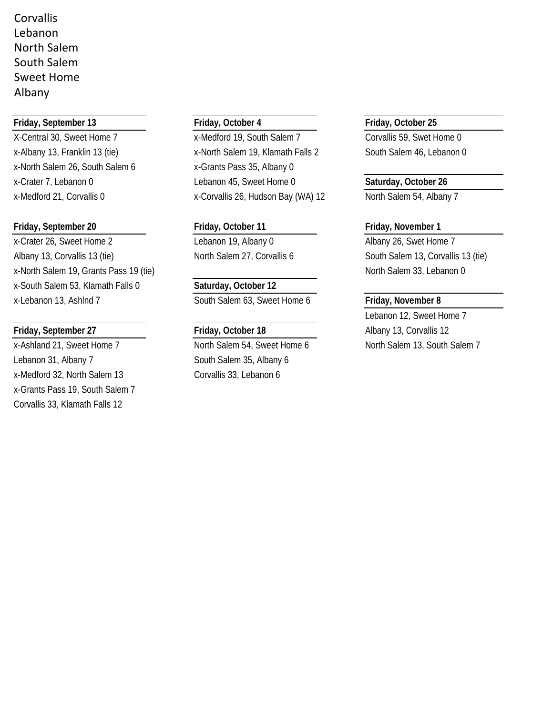Corvallis Lebanon North Salem South Salem Sweet Home Albany

## **Friday, September 13 Friday, October 4 Friday, October 25**

x-North Salem 26, South Salem 6 x-Grants Pass 35, Albany 0

## **Friday, September 20 Friday, October 11 Friday, November 1**

x-Crater 26, Sweet Home 2 Lebanon 19, Albany 0 Albany 26, Swet Home 7 Albany 13, Corvallis 13 (tie) North Salem 27, Corvallis 6 South Salem 13, Corvallis 13 (tie) x-North Salem 19, Grants Pass 19 (tie) North Salem 33, Lebanon 0 x-South Salem 53, Klamath Falls 0 **Saturday, October 12** x-Lebanon 13, Ashlnd 7 South Salem 63, Sweet Home 6 **Friday, November 8**

Lebanon 31, Albany 7 South Salem 35, Albany 6 x-Medford 32, North Salem 13 Corvallis 33, Lebanon 6 x-Grants Pass 19, South Salem 7 Corvallis 33, Klamath Falls 12

X-Central 30, Sweet Home 7 x-Medford 19, South Salem 7 Corvallis 59, Swet Home 0 x-Albany 13, Franklin 13 (tie) x-North Salem 19, Klamath Falls 2 South Salem 46, Lebanon 0 x-Crater 7, Lebanon 0 Lebanon 45, Sweet Home 0 **Saturday, October 26** x-Medford 21, Corvallis 0 x-Corvallis 26, Hudson Bay (WA) 12 North Salem 54, Albany 7

Lebanon 12, Sweet Home 7 **Friday, September 27 Friday, October 18** Albany 13, Corvallis 12 x-Ashland 21, Sweet Home 7 North Salem 54, Sweet Home 6 North Salem 13, South Salem 7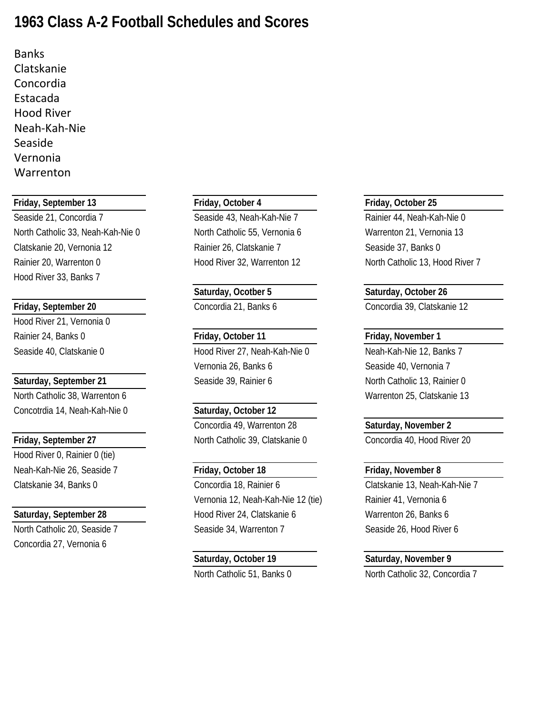# **1963 Class A-2 Football Schedules and Scores**

Banks Clatskanie Concordia Estacada Hood River Neah-Kah-Nie Seaside Vernonia Warrenton

## **Friday, September 13 Friday, October 4 Friday, October 25**

Seaside 21, Concordia 7 Seaside 43, Neah-Kah-Nie 7 Rainier 44, Neah-Kah-Nie 0 North Catholic 33, Neah-Kah-Nie 0 North Catholic 55, Vernonia 6 Warrenton 21, Vernonia 13 Clatskanie 20, Vernonia 12 **Rainier 26, Clatskanie 7** Seaside 37, Banks 0 Rainier 20, Warrenton 0 **Hood River 32, Warrenton 12** North Catholic 13, Hood River 7 Hood River 33, Banks 7

Hood River 21, Vernonia 0 Rainier 24, Banks 0 **Friday, October 11 Friday, November 1**

North Catholic 38, Warrenton 6 Warrenton 25, Clatskanie 13 Concotrdia 14, Neah-Kah-Nie 0 **Saturday, October 12**

Hood River 0, Rainier 0 (tie) Neah-Kah-Nie 26, Seaside 7 **Friday, October 18 Friday, November 8**

Concordia 27, Vernonia 6

Seaside 40, Clatskanie 0 Hood River 27, Neah-Kah-Nie 0 Neah-Kah-Nie 12, Banks 7 Vernonia 26, Banks 6 Seaside 40, Vernonia 7 **Saturday, September 21** Seaside 39, Rainier 6 North Catholic 13, Rainier 0

Concordia 49, Warrenton 28 **Saturday, November 2 Friday, September 27** North Catholic 39, Clatskanie 0 Concordia 40, Hood River 20

Clatskanie 34, Banks 0 Concordia 18, Rainier 6 Clatskanie 13, Neah-Kah-Nie 7 Vernonia 12, Neah-Kah-Nie 12 (tie) Rainier 41, Vernonia 6 **Saturday, September 28** Hood River 24, Clatskanie 6 Warrenton 26, Banks 6 North Catholic 20, Seaside 7 Seaside 34, Warrenton 7 Seaside 26, Hood River 6

**Saturday, Ocotber 5 Saturday, October 26 Friday, September 20** Concordia 21, Banks 6 Concordia 39, Clatskanie 12

**Saturday, October 19 Saturday, November 9** North Catholic 51, Banks 0 North Catholic 32, Concordia 7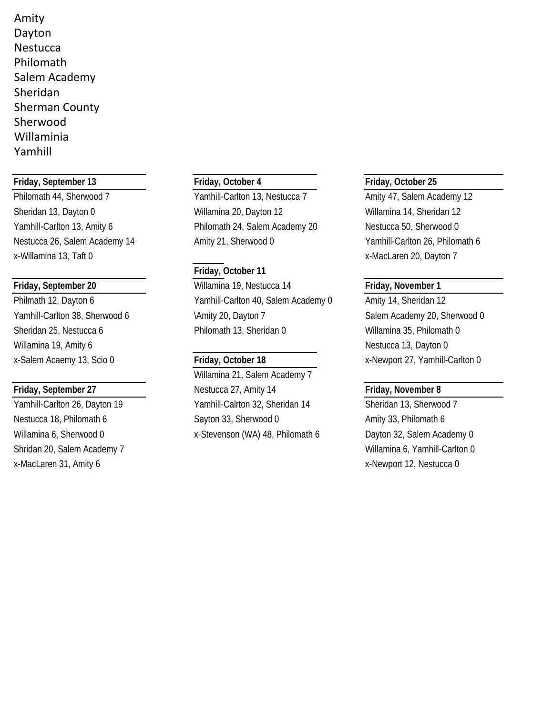Amity Dayton **Nestucca** Philomath Salem Academy Sheridan Sherman County Sherwood Willaminia Yamhill

## **Friday, September 13 Friday, October 4 Friday, October 25**

Philomath 44, Sherwood 7 Yamhill-Carlton 13, Nestucca 7 Amity 47, Salem Academy 12 Sheridan 13, Dayton 0 Willamina 20, Dayton 12 Willamina 14, Sheridan 12 Yamhill-Carlton 13, Amity 6 **Philomath 24, Salem Academy 20** Nestucca 50, Sherwood 0 Nestucca 26, Salem Academy 14 Amity 21, Sherwood 0 Yamhill-Carlton 26, Philomath 6 x-Willamina 13, Taft 0 xareholder and the set of the set of the set of the set of the set of the set of the set of the set of the set of the set of the set of the set of the set of the set of the set of the set of the set

Willamina 19, Amity 6 Nestucca 13, Dayton 0

Shridan 20, Salem Academy 7 Nillamina 6, Yamhill-Carlton 0 x-MacLaren 31, Amity 6 x-Mexican proport 12, Nestucca 0

## **Friday, October 11**

**Friday, September 20** Willamina 19, Nestucca 14 **Friday, November 1** Philmath 12, Dayton 6 Yamhill-Carlton 40, Salem Academy 0 Amity 14, Sheridan 12 Yamhill-Carlton 38, Sherwood 6 \Amity 20, Dayton 7 \Research 38, Sherwood 0 Sheridan 25, Nestucca 6 **Philomath 13, Sheridan 0** Willamina 35, Philomath 0

Willamina 21, Salem Academy 7 **Friday, September 27** Nestucca 27, Amity 14 **Friday, November 8** Yamhill-Carlton 26, Dayton 19 Yamhill-Calrton 32, Sheridan 14 Sheridan 13, Sherwood 7 Nestucca 18, Philomath 6 Sayton 33, Sherwood 0 Amity 33, Philomath 6 Willamina 6, Sherwood 0 x-Stevenson (WA) 48, Philomath 6 Dayton 32, Salem Academy 0

x-Salem Acaemy 13, Scio 0 **Friday, October 18** x-Newport 27, Yamhill-Carlton 0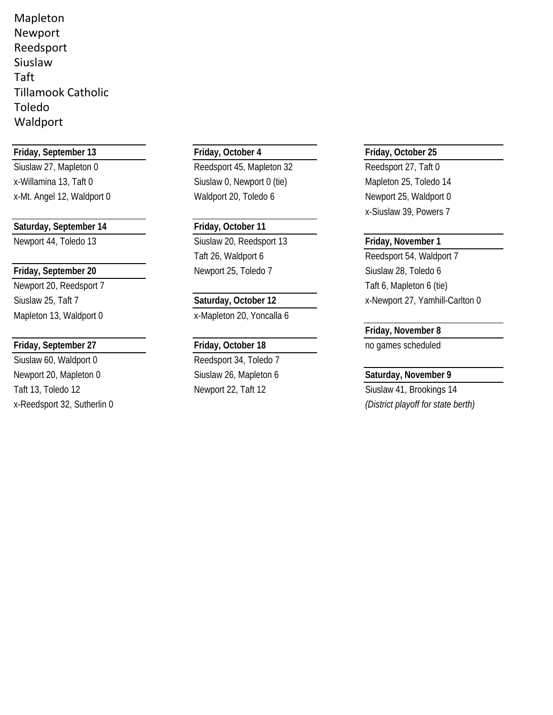Mapleton Newport Reedsport Siuslaw Taft Tillamook Catholic Toledo Waldport

## **Friday, September 13 Friday, October 4 Friday, October 25**

## Saturday, September 14 **Friday**, October 11

Newport 20, Reedsport 7 Taft 6, Mapleton 6 (tie)

## **Friday, September 27 Friday, October 18 Friday, October 18 no games scheduled**

Siuslaw 60, Waldport 0 Reedsport 34, Toledo 7 Newport 20, Mapleton 0 Siuslaw 26, Mapleton 6 **Saturday, November 9** Taft 13, Toledo 12 **Newport 22, Taft 12** Siuslaw 41, Brookings 14

Siuslaw 27, Mapleton 0 Reedsport 45, Mapleton 32 Reedsport 27, Taft 0 x-Willamina 13, Taft 0 Siuslaw 0, Newport 0 (tie) Mapleton 25, Toledo 14 x-Mt. Angel 12, Waldport 0 Waldport 20, Toledo 6 Newport 25, Waldport 0

Newport 44, Toledo 13 Siuslaw 20, Reedsport 13 **Friday, November 1** Taft 26, Waldport 6 Reedsport 54, Waldport 7 **Friday, September 20** Newport 25, Toledo 7 Siuslaw 28, Toledo 6

Mapleton 13, Waldport 0 x-Mapleton 20, Yoncalla 6

x-Siuslaw 39, Powers 7

Siuslaw 25, Taft 7 **Saturday, October 12** X-Newport 27, Yamhill-Carlton 0

## **Friday, November 8**

x-Reedsport 32, Sutherlin 0 *(District playoff for state berth)*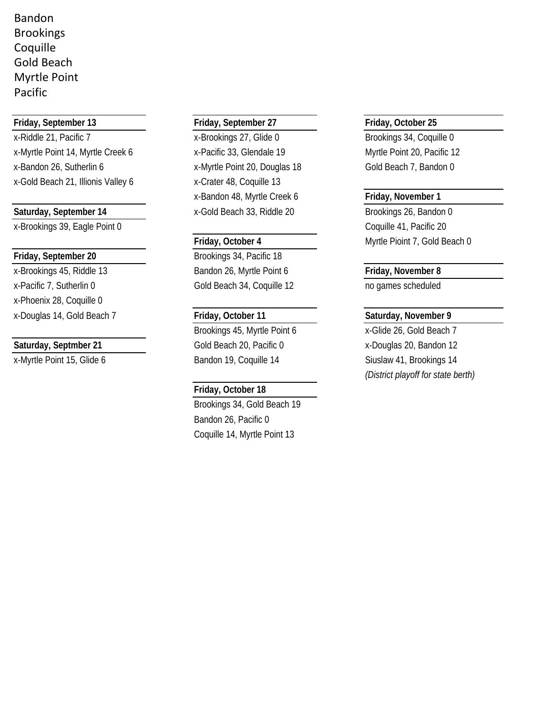Bandon Brookings Coquille Gold Beach Myrtle Point Pacific

## **Friday, September 13 Friday, September 27 Friday, October 25**

x-Riddle 21, Pacific 7 x-Brookings 27, Glide 0 Brookings 34, Coquille 0 x-Myrtle Point 14, Myrtle Creek 6 x-Pacific 33, Glendale 19 Myrtle Point 20, Pacific 12 x-Bandon 26, Sutherlin 6 x-Myrtle Point 20, Douglas 18 Gold Beach 7, Bandon 0 x-Gold Beach 21, Illionis Valley 6 x-Crater 48, Coquille 13

x-Brookings 39, Eagle Point 0 Coquille 41, Pacific 20

x-Brookings 45, Riddle 13 Bandon 26, Myrtle Point 6 **Friday, November 8** x-Pacific 7, Sutherlin 0 Gold Beach 34, Coquille 12 no games scheduled x-Phoenix 28, Coquille 0 x-Douglas 14, Gold Beach 7 **Friday, October 11 Saturday, November 9**

x-Bandon 48, Myrtle Creek 6 **Friday, November 1** Saturday, September 14 **X**-Gold Beach 33, Riddle 20 Brookings 26, Bandon 0

**Friday, September 20** Brookings 34, Pacific 18

Brookings 45, Myrtle Point 6 x-Glide 26, Gold Beach 7 **Saturday, Septmber 21** Gold Beach 20, Pacific 0 x-Douglas 20, Bandon 12 x-Myrtle Point 15, Glide 6 Bandon 19, Coquille 14 Siuslaw 41, Brookings 14

## **Friday, October 18**

Brookings 34, Gold Beach 19 Bandon 26, Pacific 0 Coquille 14, Myrtle Point 13

**Friday, October 4** Myrtle Pioint 7, Gold Beach 0

*(District playoff for state berth)*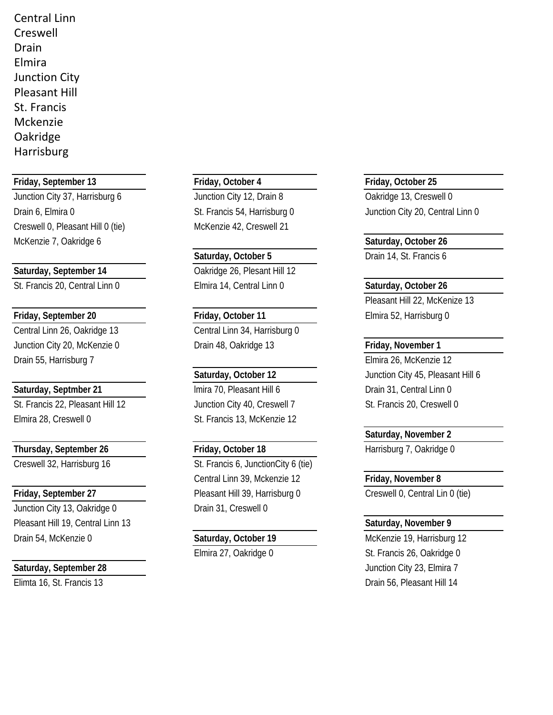Central Linn Creswell Drain Elmira Junction City Pleasant Hill St. Francis Mckenzie Oakridge Harrisburg

**Friday, September 13 Friday, October 4 Friday, October 25**

Creswell 0, Pleasant Hill 0 (tie) McKenzie 42, Creswell 21 McKenzie 7, Oakridge 6 **Saturday, October 26** Saturday, October 26

Saturday, September 14 Cakridge 26, Plesant Hill 12

**Friday, September 20 Friday, October 11 Elmira 52, Harrisburg 0** Central Linn 26, Oakridge 13 Central Linn 34, Harrisburg 0 Junction City 20, McKenzie 0 Drain 48, Oakridge 13 **Friday, November 1** Drain 55, Harrisburg 7 Elmira 26, McKenzie 12

St. Francis 22, Pleasant Hill 12 Junction City 40, Creswell 7 St. Francis 20, Creswell 0

**Thursday, September 26 Friday, October 18 Harrisburg 7, Oakridge 0** 

Junction City 13, Oakridge 0 Drain 31, Creswell 0 Pleasant Hill 19, Central Linn 13 **Saturday, November 9**

Junction City 37, Harrisburg 6 Junction City 12, Drain 8 Cakridge 13, Creswell 0

St. Francis 20, Central Linn 0 Elmira 14, Central Linn 0 **Saturday, October 26**

**Saturday, Septmber 21 lmira 70, Pleasant Hill 6** Drain 31, Central Linn 0 Elmira 28, Creswell 0 St. Francis 13, McKenzie 12

Creswell 32, Harrisburg 16 St. Francis 6, JunctionCity 6 (tie) Central Linn 39, Mckenzie 12 **Friday, November 8** Friday, September 27 **Pleasant Hill 39, Harrisburg 0** Creswell 0, Central Lin 0 (tie)

Drain 6, Elmira 0 St. Francis 54, Harrisburg 0 Junction City 20, Central Linn 0

**Saturday, October 5** Drain 14, St. Francis 6

Pleasant Hill 22, McKenize 13

Saturday, October 12 **Junction City 45, Pleasant Hill 6** 

**Saturday, November 2**

Drain 54, McKenzie 0 **Saturday, October 19** McKenzie 19, Harrisburg 12 Elmira 27, Oakridge 0 St. Francis 26, Oakridge 0 **Saturday, September 28** Junction City 23, Elmira 7 Elimta 16, St. Francis 13 Drain 56, Pleasant Hill 14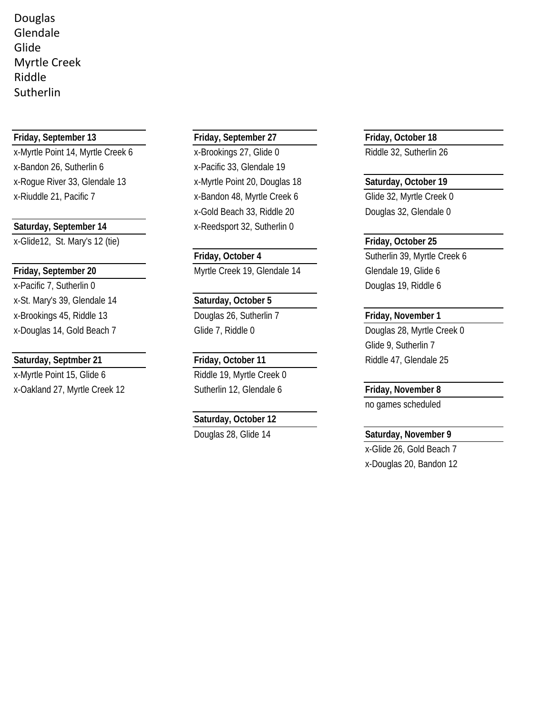Douglas Glendale Glide Myrtle Creek Riddle Sutherlin

x-Myrtle Point 14, Myrtle Creek 6 x-Brookings 27, Glide 0 Riddle 32, Sutherlin 26 x-Bandon 26, Sutherlin 6 x-Pacific 33, Glendale 19 x-Rogue River 33, Glendale 13 x-Myrtle Point 20, Douglas 18 **Saturday, October 19** x-Riuddle 21, Pacific 7 <br>x-Bandon 48, Myrtle Creek 6 Glide 32, Myrtle Creek 0

x-Glide12, St. Mary's 12 (tie) **Friday, October 25**

x-St. Mary's 39, Glendale 14 **Saturday, October 5** x-Brookings 45, Riddle 13 Douglas 26, Sutherlin 7 **Friday, November 1**

## **Saturday, Septmber 21 Friday, October 11** Riddle 47, Glendale 25

x-Myrtle Point 15, Glide 6 Riddle 19, Myrtle Creek 0 x-Oakland 27, Myrtle Creek 12 Sutherlin 12, Glendale 6 **Friday, November 8**

## **Friday, September 13 Friday, September 27 Friday, October 18**

x-Gold Beach 33, Riddle 20 Douglas 32, Glendale 0 Saturday, September 14 **x**-Reedsport 32, Sutherlin 0

**Friday, September 20** Myrtle Creek 19, Glendale 14 Glendale 19, Glide 6

## **Saturday, October 12**

**Friday, October 4** Sutherlin 39, Myrtle Creek 6 x-Pacific 7, Sutherlin 0 Douglas 19, Riddle 6

x-Douglas 14, Gold Beach 7 Glide 7, Riddle 0 Business Douglas 28, Myrtle Creek 0 Glide 9, Sutherlin 7

no games scheduled

## Douglas 28, Glide 14 **Saturday, November 9** Saturday, November 9

x-Glide 26, Gold Beach 7 x-Douglas 20, Bandon 12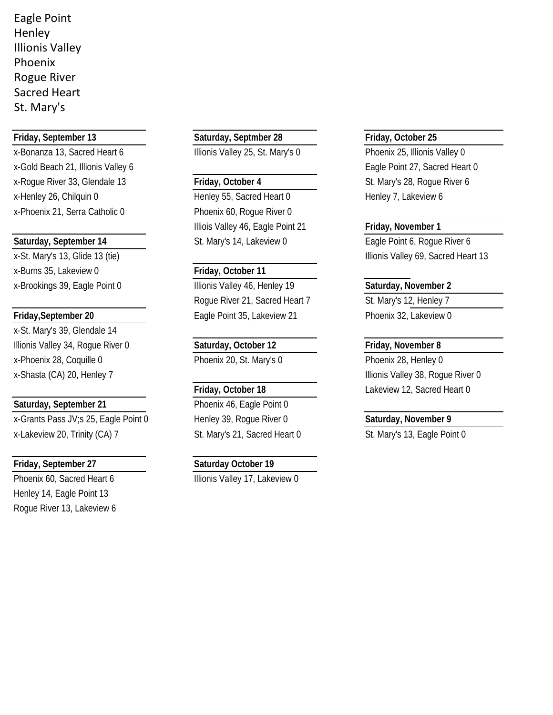Eagle Point Henley Illionis Valley Phoenix Rogue River Sacred Heart St. Mary's

x-Bonanza 13, Sacred Heart 6 Illionis Valley 25, St. Mary's 0 Phoenix 25, Illionis Valley 0 x-Gold Beach 21, Illionis Valley 6 Eagle Point 27, Sacred Heart 0 x-Roque River 33, Glendale 13 **Friday, October 4** St. Mary's 28, Roque River 6 x-Henley 26, Chilquin 0 **Henley 55, Sacred Heart 0** Henley 7, Lakeview 6 x-Phoenix 21, Serra Catholic 0 Phoenix 60, Rogue River 0

x-Burns 35, Lakeview 0 **Friday, October 11**

x-St. Mary's 39, Glendale 14 Illionis Valley 34, Rogue River 0 **Saturday, October 12 Friday, November 8** x-Phoenix 28, Coquille 0 **Phoenix 20, St. Mary's 0** Phoenix 28, Henley 0 x-Shasta (CA) 20, Henley 7 and 1992 and 1993 and 1993 and 1994 and 1993 and 1994 and 1993 and 1998 and 1998 and 199

## Saturday, September 21 Phoenix 46, Eagle Point 0

x-Grants Pass JV;s 25, Eagle Point 0 Henley 39, Rogue River 0 **Saturday, November 9** x-Lakeview 20, Trinity (CA) 7 St. Mary's 21, Sacred Heart 0 St. Mary's 13, Eagle Point 0

## **Friday, September 27 Saturday October 19**

Henley 14, Eagle Point 13 Rogue River 13, Lakeview 6

## **Friday, September 13 Saturday, Septmber 28 Friday, October 25**

Illiois Valley 46, Eagle Point 21 **Friday, November 1 Saturday, September 14** St. Mary's 14, Lakeview 0 Eagle Point 6, Rogue River 6

x-Brookings 39, Eagle Point 0 **Illionis Valley 46, Henley 19** Saturday, November 2 Rogue River 21, Sacred Heart 7 St. Mary's 12, Henley 7 **Friday, September 20** Eagle Point 35, Lakeview 21 Phoenix 32, Lakeview 0

Phoenix 60, Sacred Heart 6 Illionis Valley 17, Lakeview 0

x-St. Mary's 13, Glide 13 (tie) Intervalse and the state of the Illionis Valley 69, Sacred Heart 13

**Friday, October 18** Lakeview 12, Sacred Heart 0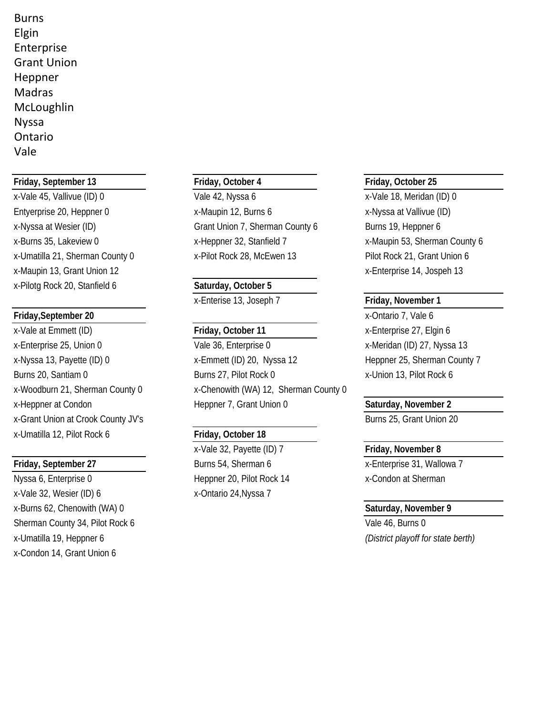Burns Elgin Enterprise Grant Union Heppner Madras McLoughlin Nyssa Ontario Vale

## **Friday, September 13 Friday, October 4 Friday, October 25**

x-Vale 45, Vallivue (ID) 0 Vale 42, Nyssa 6 x-Vale 18, Meridan (ID) 0 x-Maupin 13, Grant Union 12 **x**-Maupin 13, Grant Union 12 x-Pilotg Rock 20, Stanfield 6 **Saturday, October 5**

## **Friday, September 20** x-Ontario 7, Vale 6

x-Vale at Emmett (ID) **Friday, October 11** x-Enterprise 27, Elgin 6 x-Grant Union at Crook County JV's and Society and Society and Society and Burns 25, Grant Union 20 x-Umatilla 12, Pilot Rock 6 **Friday, October 18**

Nyssa 6, Enterprise 0 Heppner 20, Pilot Rock 14 x-Condon at Sherman x-Vale 32, Wesier (ID) 6 x-Ontario 24, Nyssa 7 x-Burns 62, Chenowith (WA) 0 **Saturday, November 9** Saturday, November 9 Sherman County 34, Pilot Rock 6 Vale 46, Burns 0 x-Umatilla 19, Heppner 6 *(District playoff for state berth)* x-Condon 14, Grant Union 6

Entyerprise 20, Heppner 0 x-Maupin 12, Burns 6 x-Nyssa at Vallivue (ID) x-Nyssa at Wesier (ID) Grant Union 7, Sherman County 6 Burns 19, Heppner 6 x-Burns 35, Lakeview 0 x-Heppner 32, Stanfield 7 x-Maupin 53, Sherman County 6 x-Umatilla 21, Sherman County 0 x-Pilot Rock 28, McEwen 13 Pilot Rock 21, Grant Union 6

x-Enterise 13, Joseph 7 **Friday, November 1**

x-Enterprise 25, Union 0 Vale 36, Enterprise 0 x-Meridan (ID) 27, Nyssa 13 x-Nyssa 13, Payette (ID) 0 x-Emmett (ID) 20, Nyssa 12 Heppner 25, Sherman County 7 Burns 20, Santiam 0 Burns 27, Pilot Rock 0 x-Union 13, Pilot Rock 6 x-Woodburn 21, Sherman County 0 x-Chenowith (WA) 12, Sherman County 0 x-Heppner at Condon Heppner 7, Grant Union 0 **Saturday, November 2**

x-Vale 32, Payette (ID) 7 **Friday, November 8 Friday, September 27** Burns 54, Sherman 6 **X**-Enterprise 31, Wallowa 7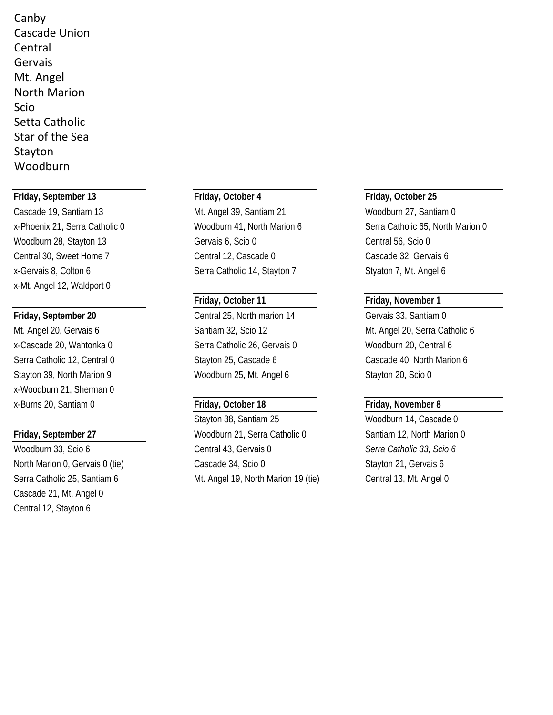Canby Cascade Union Central Gervais Mt. Angel North Marion Scio Setta Catholic Star of the Sea Stayton Woodburn

## **Friday, September 13 Friday, October 4 Friday, October 25**

x-Mt. Angel 12, Waldport 0

x-Woodburn 21, Sherman 0 x-Burns 20, Santiam 0 **Friday, October 18 Friday, November 8**

Cascade 21, Mt. Angel 0 Central 12, Stayton 6

Cascade 19, Santiam 13 Mt. Angel 39, Santiam 21 Woodburn 27, Santiam 0 Woodburn 28, Stayton 13 Gervais 6, Scio 0 Central 56, Scio 0 Central 30, Sweet Home 7 Central 12, Cascade 0 Cascade 32, Gervais 6 x-Gervais 8, Colton 6 Serra Catholic 14, Stayton 7 Styaton 7, Mt. Angel 6

**Friday, September 20** Central 25, North marion 14 Gervais 33, Santiam 0 x-Cascade 20, Wahtonka 0 Serra Catholic 26, Gervais 0 Woodburn 20, Central 6 Serra Catholic 12, Central 0 Stayton 25, Cascade 6 Cascade 40, North Marion 6 Stayton 39, North Marion 9 Woodburn 25, Mt. Angel 6 Stayton 20, Scio 0

Stayton 38, Santiam 25 Woodburn 14, Cascade 0 **Friday, September 27** Woodburn 21, Serra Catholic 0 Santiam 12, North Marion 0 Woodburn 33, Scio 6 Central 43, Gervais 0 *Serra Catholic 33, Scio 6* North Marion 0, Gervais 0 (tie) Cascade 34, Scio 0 Stayton 21, Gervais 6 Serra Catholic 25, Santiam 6 Mt. Angel 19, North Marion 19 (tie) Central 13, Mt. Angel 0

x-Phoenix 21, Serra Catholic 0 Woodburn 41, North Marion 6 Serra Catholic 65, North Marion 0

## **Friday, October 11 Friday, November 1**

Mt. Angel 20, Gervais 6 Santiam 32, Scio 12 Mt. Angel 20, Serra Catholic 6